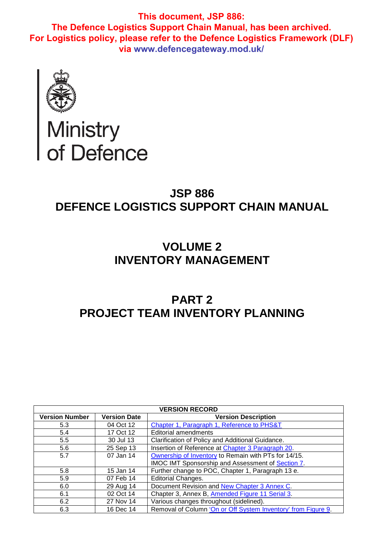

# Ministry<br>of Defence

# **JSP 886 DEFENCE LOGISTICS SUPPORT CHAIN MANUAL**

## **VOLUME 2 INVENTORY MANAGEMENT**

# **PART 2 PROJECT TEAM INVENTORY PLANNING**

|                       | <b>VERSION RECORD</b> |                                                               |  |  |  |  |  |  |  |  |
|-----------------------|-----------------------|---------------------------------------------------------------|--|--|--|--|--|--|--|--|
| <b>Version Number</b> | <b>Version Date</b>   | <b>Version Description</b>                                    |  |  |  |  |  |  |  |  |
| 5.3                   | 04 Oct 12             | Chapter 1, Paragraph 1, Reference to PHS&T                    |  |  |  |  |  |  |  |  |
| 5.4                   | 17 Oct 12             | <b>Editorial amendments</b>                                   |  |  |  |  |  |  |  |  |
| 5.5                   | 30 Jul 13             | Clarification of Policy and Additional Guidance.              |  |  |  |  |  |  |  |  |
| 5.6                   | 25 Sep 13             | Insertion of Reference at Chapter 3 Paragraph 20.             |  |  |  |  |  |  |  |  |
| 5.7                   | 07 Jan 14             | Ownership of Inventory to Remain with PTs for 14/15.          |  |  |  |  |  |  |  |  |
|                       |                       | IMOC IMT Sponsorship and Assessment of Section 7.             |  |  |  |  |  |  |  |  |
| 5.8                   | 15 Jan 14             | Further change to POC, Chapter 1, Paragraph 13 e.             |  |  |  |  |  |  |  |  |
| 5.9                   | 07 Feb 14             | Editorial Changes.                                            |  |  |  |  |  |  |  |  |
| 6.0                   | 29 Aug 14             | Document Revision and New Chapter 3 Annex C.                  |  |  |  |  |  |  |  |  |
| 6.1                   | 02 Oct 14             | Chapter 3, Annex B, Amended Figure 11 Serial 3.               |  |  |  |  |  |  |  |  |
| 6.2                   | 27 Nov 14             | Various changes throughout (sidelined).                       |  |  |  |  |  |  |  |  |
| 6.3                   | 16 Dec 14             | Removal of Column 'On or Off System Inventory' from Figure 9. |  |  |  |  |  |  |  |  |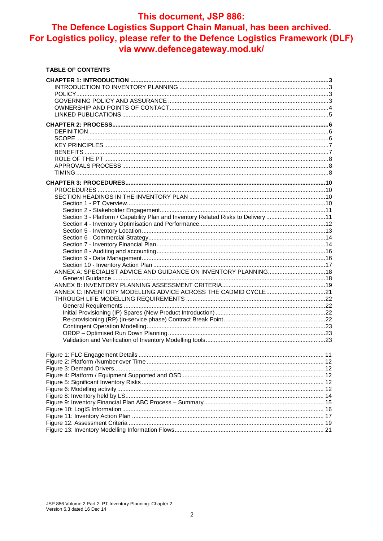### This document, JSP 886:

## The Defence Logistics Support Chain Manual, has been archived. For Logistics policy, please refer to the Defence Logistics Framework (DLF) via www.defencegateway.mod.uk/

#### **TABLE OF CONTENTS**

| Section 3 - Platform / Capability Plan and Inventory Related Risks to Delivery 11 |  |
|-----------------------------------------------------------------------------------|--|
|                                                                                   |  |
|                                                                                   |  |
|                                                                                   |  |
|                                                                                   |  |
|                                                                                   |  |
|                                                                                   |  |
|                                                                                   |  |
|                                                                                   |  |
|                                                                                   |  |
|                                                                                   |  |
| ANNEX C: INVENTORY MODELLING ADVICE ACROSS THE CADMID CYCLE21                     |  |
|                                                                                   |  |
|                                                                                   |  |
|                                                                                   |  |
|                                                                                   |  |
|                                                                                   |  |
|                                                                                   |  |
|                                                                                   |  |
|                                                                                   |  |
|                                                                                   |  |
|                                                                                   |  |
|                                                                                   |  |
|                                                                                   |  |
|                                                                                   |  |
|                                                                                   |  |
|                                                                                   |  |
|                                                                                   |  |
|                                                                                   |  |
|                                                                                   |  |
|                                                                                   |  |
|                                                                                   |  |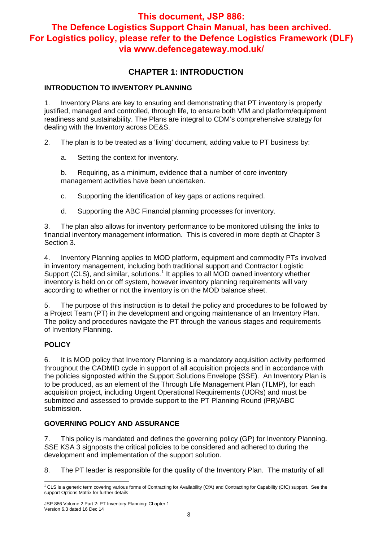## **CHAPTER 1: INTRODUCTION**

#### **INTRODUCTION TO INVENTORY PLANNING**

1. Inventory Plans are key to ensuring and demonstrating that PT inventory is properly justified, managed and controlled, through life, to ensure both VfM and platform/equipment readiness and sustainability. The Plans are integral to CDM's comprehensive strategy for dealing with the Inventory across DE&S.

2. The plan is to be treated as a 'living' document, adding value to PT business by:

a. Setting the context for inventory.

b. Requiring, as a minimum, evidence that a number of core inventory management activities have been undertaken.

- c. Supporting the identification of key gaps or actions required.
- d. Supporting the ABC Financial planning processes for inventory.

3. The plan also allows for inventory performance to be monitored utilising the links to financial inventory management information. This is covered in more depth at Chapter 3 Section 3.

4. Inventory Planning applies to MOD platform, equipment and commodity PTs involved in inventory management, including both traditional support and Contractor Logistic Support (CLS), and similar, solutions.<sup>1</sup> It applies to all MOD owned inventory whether inventory is held on or off system, however inventory planning requirements will vary according to whether or not the inventory is on the MOD balance sheet.

5. The purpose of this instruction is to detail the policy and procedures to be followed by a Project Team (PT) in the development and ongoing maintenance of an Inventory Plan. The policy and procedures navigate the PT through the various stages and requirements of Inventory Planning.

#### **POLICY**

6. It is MOD policy that Inventory Planning is a mandatory acquisition activity performed throughout the CADMID cycle in support of all acquisition projects and in accordance with the policies signposted within the Support Solutions Envelope (SSE). An Inventory Plan is to be produced, as an element of the Through Life Management Plan (TLMP), for each acquisition project, including Urgent Operational Requirements (UORs) and must be submitted and assessed to provide support to the PT Planning Round (PR)/ABC submission.

#### **GOVERNING POLICY AND ASSURANCE**

7. This policy is mandated and defines the governing policy (GP) for Inventory Planning. SSE KSA 3 signposts the critical policies to be considered and adhered to during the development and implementation of the support solution.

8. The PT leader is responsible for the quality of the Inventory Plan. The maturity of all

 $\overline{1}$ <sup>1</sup> CLS is a generic term covering various forms of Contracting for Availability (CfA) and Contracting for Capability (CfC) support. See the support Options Matrix for further details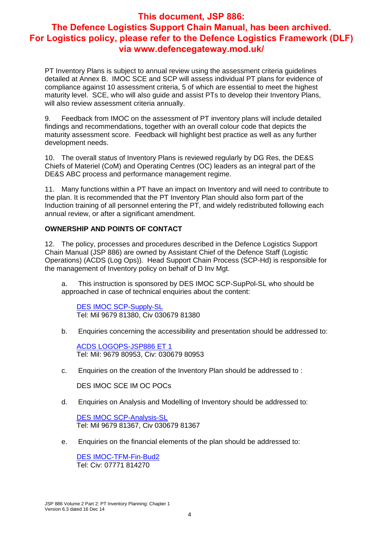PT Inventory Plans is subject to annual review using the assessment criteria guidelines detailed at Annex B. IMOC SCE and SCP will assess individual PT plans for evidence of compliance against 10 assessment criteria, 5 of which are essential to meet the highest maturity level. SCE, who will also guide and assist PTs to develop their Inventory Plans, will also review assessment criteria annually.

9. Feedback from IMOC on the assessment of PT inventory plans will include detailed findings and recommendations, together with an overall colour code that depicts the maturity assessment score. Feedback will highlight best practice as well as any further development needs.

10. The overall status of Inventory Plans is reviewed regularly by DG Res, the DE&S Chiefs of Materiel (CoM) and Operating Centres (OC) leaders as an integral part of the DE&S ABC process and performance management regime.

11. Many functions within a PT have an impact on Inventory and will need to contribute to the plan. It is recommended that the PT Inventory Plan should also form part of the Induction training of all personnel entering the PT, and widely redistributed following each annual review, or after a significant amendment.

#### **OWNERSHIP AND POINTS OF CONTACT**

12. The policy, processes and procedures described in the Defence Logistics Support Chain Manual (JSP 886) are owned by Assistant Chief of the Defence Staff (Logistic Operations) (ACDS (Log Ops)). Head Support Chain Process (SCP-Hd) is responsible for the management of Inventory policy on behalf of D Inv Mgt.

a. This instruction is sponsored by DES IMOC SCP-SupPol-SL who should be approached in case of technical enquiries about the content:

DES IMOC SCP-Supply-SL Tel: Mil 9679 81380, Civ 030679 81380

b. Enquiries concerning the accessibility and presentation should be addressed to:

ACDS LOGOPS-JSP886 ET 1 Tel: Mil: 9679 80953, Civ: 030679 80953

c. Enquiries on the creation of the Inventory Plan should be addressed to :

DES IMOC SCE IM OC POCs

d. Enquiries on Analysis and Modelling of Inventory should be addressed to:

DES IMOC SCP-Analysis-SL Tel: Mil 9679 81367, Civ 030679 81367

e. Enquiries on the financial elements of the plan should be addressed to:

DES IMOC-TFM-Fin-Bud2 Tel: Civ: 07771 814270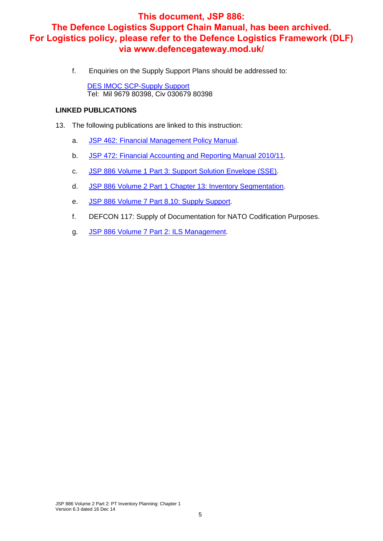f. Enquiries on the Supply Support Plans should be addressed to:

DES IMOC SCP-Supply Support Tel: Mil 9679 80398, Civ 030679 80398

#### **LINKED PUBLICATIONS**

- 13. The following publications are linked to this instruction:
	- a. JSP 462: Financial Management Policy Manual.
	- b. JSP 472: Financial Accounting and Reporting Manual 2010/11.
	- c. JSP 886 Volume 1 Part 3: Support Solution Envelope (SSE).
	- d. JSP 886 Volume 2 Part 1 Chapter 13: Inventory Segmentation.
	- e. JSP 886 Volume 7 Part 8.10: Supply Support.
	- f. DEFCON 117: Supply of Documentation for NATO Codification Purposes.
	- g. JSP 886 Volume 7 Part 2: ILS Management.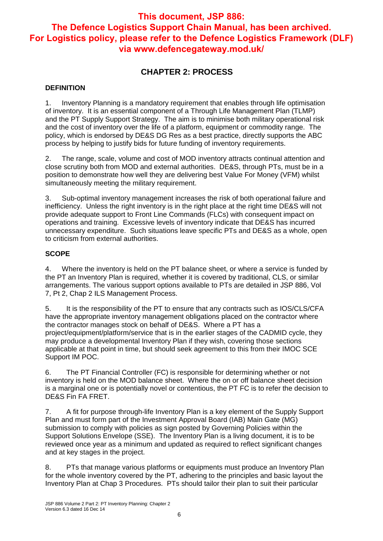## **CHAPTER 2: PROCESS**

#### **DEFINITION**

1. Inventory Planning is a mandatory requirement that enables through life optimisation of inventory. It is an essential component of a Through Life Management Plan (TLMP) and the PT Supply Support Strategy. The aim is to minimise both military operational risk and the cost of inventory over the life of a platform, equipment or commodity range. The policy, which is endorsed by DE&S DG Res as a best practice, directly supports the ABC process by helping to justify bids for future funding of inventory requirements.

2. The range, scale, volume and cost of MOD inventory attracts continual attention and close scrutiny both from MOD and external authorities. DE&S, through PTs, must be in a position to demonstrate how well they are delivering best Value For Money (VFM) whilst simultaneously meeting the military requirement.

3. Sub-optimal inventory management increases the risk of both operational failure and inefficiency. Unless the right inventory is in the right place at the right time DE&S will not provide adequate support to Front Line Commands (FLCs) with consequent impact on operations and training. Excessive levels of inventory indicate that DE&S has incurred unnecessary expenditure. Such situations leave specific PTs and DE&S as a whole, open to criticism from external authorities.

#### **SCOPE**

4. Where the inventory is held on the PT balance sheet, or where a service is funded by the PT an Inventory Plan is required, whether it is covered by traditional, CLS, or similar arrangements. The various support options available to PTs are detailed in JSP 886, Vol 7, Pt 2, Chap 2 ILS Management Process.

5. It is the responsibility of the PT to ensure that any contracts such as IOS/CLS/CFA have the appropriate inventory management obligations placed on the contractor where the contractor manages stock on behalf of DE&S. Where a PT has a project/equipment/platform/service that is in the earlier stages of the CADMID cycle, they may produce a developmental Inventory Plan if they wish, covering those sections applicable at that point in time, but should seek agreement to this from their IMOC SCE Support IM POC.

6. The PT Financial Controller (FC) is responsible for determining whether or not inventory is held on the MOD balance sheet. Where the on or off balance sheet decision is a marginal one or is potentially novel or contentious, the PT FC is to refer the decision to DE&S Fin FA FRET.

7. A fit for purpose through-life Inventory Plan is a key element of the Supply Support Plan and must form part of the Investment Approval Board (IAB) Main Gate (MG) submission to comply with policies as sign posted by Governing Policies within the Support Solutions Envelope (SSE). The Inventory Plan is a living document, it is to be reviewed once year as a minimum and updated as required to reflect significant changes and at key stages in the project.

8. PTs that manage various platforms or equipments must produce an Inventory Plan for the whole inventory covered by the PT, adhering to the principles and basic layout the Inventory Plan at Chap 3 Procedures. PTs should tailor their plan to suit their particular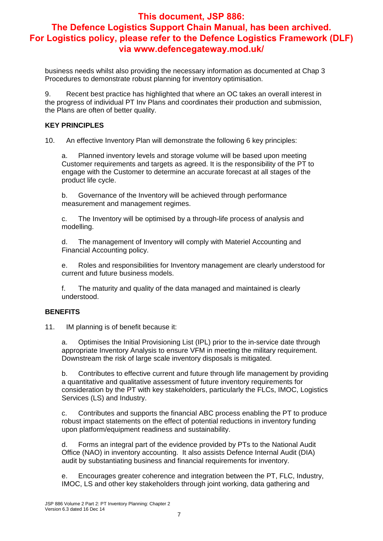business needs whilst also providing the necessary information as documented at Chap 3 Procedures to demonstrate robust planning for inventory optimisation.

9. Recent best practice has highlighted that where an OC takes an overall interest in the progress of individual PT Inv Plans and coordinates their production and submission, the Plans are often of better quality.

#### **KEY PRINCIPLES**

10. An effective Inventory Plan will demonstrate the following 6 key principles:

a. Planned inventory levels and storage volume will be based upon meeting Customer requirements and targets as agreed. It is the responsibility of the PT to engage with the Customer to determine an accurate forecast at all stages of the product life cycle.

b. Governance of the Inventory will be achieved through performance measurement and management regimes.

c. The Inventory will be optimised by a through-life process of analysis and modelling.

d. The management of Inventory will comply with Materiel Accounting and Financial Accounting policy.

e. Roles and responsibilities for Inventory management are clearly understood for current and future business models.

f. The maturity and quality of the data managed and maintained is clearly understood.

#### **BENEFITS**

11. IM planning is of benefit because it:

a. Optimises the Initial Provisioning List (IPL) prior to the in-service date through appropriate Inventory Analysis to ensure VFM in meeting the military requirement. Downstream the risk of large scale inventory disposals is mitigated.

b. Contributes to effective current and future through life management by providing a quantitative and qualitative assessment of future inventory requirements for consideration by the PT with key stakeholders, particularly the FLCs, IMOC, Logistics Services (LS) and Industry.

c. Contributes and supports the financial ABC process enabling the PT to produce robust impact statements on the effect of potential reductions in inventory funding upon platform/equipment readiness and sustainability.

d. Forms an integral part of the evidence provided by PTs to the National Audit Office (NAO) in inventory accounting. It also assists Defence Internal Audit (DIA) audit by substantiating business and financial requirements for inventory.

e. Encourages greater coherence and integration between the PT, FLC, Industry, IMOC, LS and other key stakeholders through joint working, data gathering and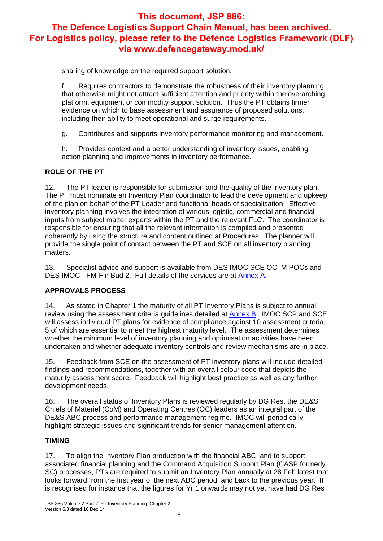sharing of knowledge on the required support solution.

f. Requires contractors to demonstrate the robustness of their inventory planning that otherwise might not attract sufficient attention and priority within the overarching platform, equipment or commodity support solution. Thus the PT obtains firmer evidence on which to base assessment and assurance of proposed solutions, including their ability to meet operational and surge requirements.

g. Contributes and supports inventory performance monitoring and management.

h. Provides context and a better understanding of inventory issues, enabling action planning and improvements in inventory performance.

#### **ROLE OF THE PT**

12. The PT leader is responsible for submission and the quality of the inventory plan. The PT must nominate an Inventory Plan coordinator to lead the development and upkeep of the plan on behalf of the PT Leader and functional heads of specialisation. Effective inventory planning involves the integration of various logistic, commercial and financial inputs from subject matter experts within the PT and the relevant FLC. The coordinator is responsible for ensuring that all the relevant information is compiled and presented coherently by using the structure and content outlined at Procedures. The planner will provide the single point of contact between the PT and SCE on all inventory planning matters.

13. Specialist advice and support is available from DES IMOC SCE OC IM POCs and DES IMOC TFM-Fin Bud 2. Full details of the services are at Annex A.

#### **APPROVALS PROCESS**

14. As stated in Chapter 1 the maturity of all PT Inventory Plans is subject to annual review using the assessment criteria guidelines detailed at Annex B. IMOC SCP and SCE will assess individual PT plans for evidence of compliance against 10 assessment criteria, 5 of which are essential to meet the highest maturity level. The assessment determines whether the minimum level of inventory planning and optimisation activities have been undertaken and whether adequate inventory controls and review mechanisms are in place.

15. Feedback from SCE on the assessment of PT inventory plans will include detailed findings and recommendations, together with an overall colour code that depicts the maturity assessment score. Feedback will highlight best practice as well as any further development needs.

16. The overall status of Inventory Plans is reviewed regularly by DG Res, the DE&S Chiefs of Materiel (CoM) and Operating Centres (OC) leaders as an integral part of the DE&S ABC process and performance management regime. IMOC will periodically highlight strategic issues and significant trends for senior management attention.

#### **TIMING**

17. To align the Inventory Plan production with the financial ABC, and to support associated financial planning and the Command Acquisition Support Plan (CASP formerly SC) processes, PTs are required to submit an Inventory Plan annually at 28 Feb latest that looks forward from the first year of the next ABC period, and back to the previous year. It is recognised for instance that the figures for Yr 1 onwards may not yet have had DG Res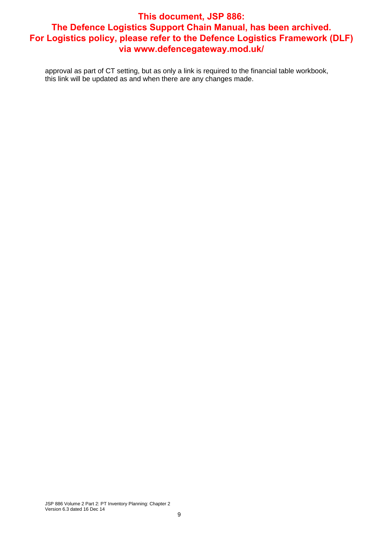approval as part of CT setting, but as only a link is required to the financial table workbook, this link will be updated as and when there are any changes made.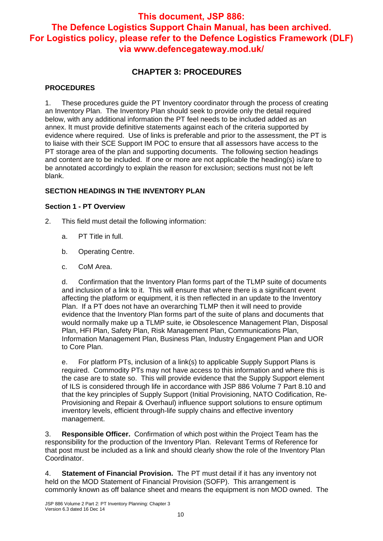## **CHAPTER 3: PROCEDURES**

#### **PROCEDURES**

1. These procedures guide the PT Inventory coordinator through the process of creating an Inventory Plan. The Inventory Plan should seek to provide only the detail required below, with any additional information the PT feel needs to be included added as an annex. It must provide definitive statements against each of the criteria supported by evidence where required. Use of links is preferable and prior to the assessment, the PT is to liaise with their SCE Support IM POC to ensure that all assessors have access to the PT storage area of the plan and supporting documents. The following section headings and content are to be included. If one or more are not applicable the heading(s) is/are to be annotated accordingly to explain the reason for exclusion; sections must not be left blank.

#### **SECTION HEADINGS IN THE INVENTORY PLAN**

#### **Section 1 - PT Overview**

- 2. This field must detail the following information:
	- a. PT Title in full.
	- b. Operating Centre.
	- c. CoM Area.

d. Confirmation that the Inventory Plan forms part of the TLMP suite of documents and inclusion of a link to it. This will ensure that where there is a significant event affecting the platform or equipment, it is then reflected in an update to the Inventory Plan. If a PT does not have an overarching TLMP then it will need to provide evidence that the Inventory Plan forms part of the suite of plans and documents that would normally make up a TLMP suite, ie Obsolescence Management Plan, Disposal Plan, HFI Plan, Safety Plan, Risk Management Plan, Communications Plan, Information Management Plan, Business Plan, Industry Engagement Plan and UOR to Core Plan.

e. For platform PTs, inclusion of a link(s) to applicable Supply Support Plans is required. Commodity PTs may not have access to this information and where this is the case are to state so. This will provide evidence that the Supply Support element of ILS is considered through life in accordance with JSP 886 Volume 7 Part 8.10 and that the key principles of Supply Support (Initial Provisioning, NATO Codification, Re-Provisioning and Repair & Overhaul) influence support solutions to ensure optimum inventory levels, efficient through-life supply chains and effective inventory management.

3. **Responsible Officer.** Confirmation of which post within the Project Team has the responsibility for the production of the Inventory Plan. Relevant Terms of Reference for that post must be included as a link and should clearly show the role of the Inventory Plan Coordinator.

4. **Statement of Financial Provision.** The PT must detail if it has any inventory not held on the MOD Statement of Financial Provision (SOFP). This arrangement is commonly known as off balance sheet and means the equipment is non MOD owned. The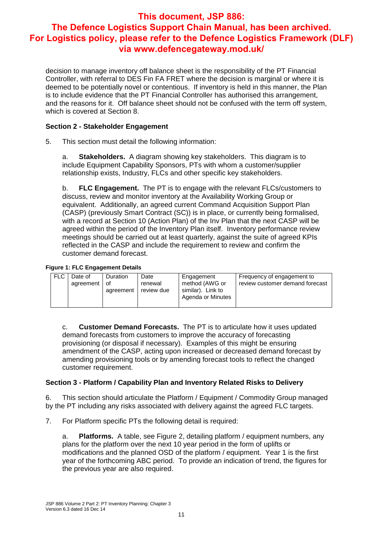decision to manage inventory off balance sheet is the responsibility of the PT Financial Controller, with referral to DES Fin FA FRET where the decision is marginal or where it is deemed to be potentially novel or contentious. If inventory is held in this manner, the Plan is to include evidence that the PT Financial Controller has authorised this arrangement, and the reasons for it. Off balance sheet should not be confused with the term off system, which is covered at Section 8.

#### **Section 2 - Stakeholder Engagement**

5. This section must detail the following information:

a. **Stakeholders.** A diagram showing key stakeholders. This diagram is to include Equipment Capability Sponsors, PTs with whom a customer/supplier relationship exists, Industry, FLCs and other specific key stakeholders.

b. **FLC Engagement.** The PT is to engage with the relevant FLCs/customers to discuss, review and monitor inventory at the Availability Working Group or equivalent. Additionally, an agreed current Command Acquisition Support Plan (CASP) (previously Smart Contract (SC)) is in place, or currently being formalised, with a record at Section 10 (Action Plan) of the Inv Plan that the next CASP will be agreed within the period of the Inventory Plan itself. Inventory performance review meetings should be carried out at least quarterly, against the suite of agreed KPIs reflected in the CASP and include the requirement to review and confirm the customer demand forecast.

#### **Figure 1: FLC Engagement Details**

| FLC.<br>Duration<br>Date of<br>Date<br>Engagement<br>method (AWG or<br>agreement of<br>renewal<br>similar). Link to<br>review due<br>agreement<br>Agenda or Minutes | Frequency of engagement to<br>review customer demand forecast |
|---------------------------------------------------------------------------------------------------------------------------------------------------------------------|---------------------------------------------------------------|

c. **Customer Demand Forecasts.** The PT is to articulate how it uses updated demand forecasts from customers to improve the accuracy of forecasting provisioning (or disposal if necessary). Examples of this might be ensuring amendment of the CASP, acting upon increased or decreased demand forecast by amending provisioning tools or by amending forecast tools to reflect the changed customer requirement.

#### **Section 3 - Platform / Capability Plan and Inventory Related Risks to Delivery**

6. This section should articulate the Platform / Equipment / Commodity Group managed by the PT including any risks associated with delivery against the agreed FLC targets.

7. For Platform specific PTs the following detail is required:

a. **Platforms.** A table, see Figure 2, detailing platform / equipment numbers, any plans for the platform over the next 10 year period in the form of uplifts or modifications and the planned OSD of the platform / equipment. Year 1 is the first year of the forthcoming ABC period. To provide an indication of trend, the figures for the previous year are also required.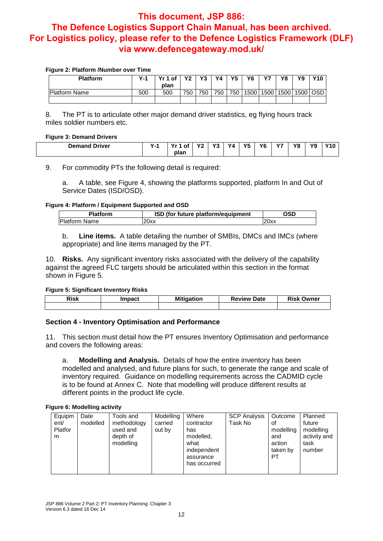#### **Figure 2: Platform /Number over Time**

| <b>Platform</b>      | $Y - 1$ | Yr 1 of | V2. | Y <sub>3</sub> | Υ4  | Y <sub>5</sub> | <b>Y6</b> | V    | Υ8   | Y9         | Y10 |
|----------------------|---------|---------|-----|----------------|-----|----------------|-----------|------|------|------------|-----|
|                      |         | plan    |     |                |     |                |           |      |      |            |     |
| <b>Platform Name</b> | 500     | 500     | 750 | 750            | 750 | 750            | 1500      | 1500 | 1500 | $1500$ OSD |     |
|                      |         |         |     |                |     |                |           |      |      |            |     |

8. The PT is to articulate other major demand driver statistics, eg flying hours track miles soldier numbers etc.

#### **Figure 3: Demand Drivers**

| __                               |         |      |              |                     |                       |                |           |               |    |    |      |
|----------------------------------|---------|------|--------------|---------------------|-----------------------|----------------|-----------|---------------|----|----|------|
| <b>Briver</b> ₹<br><b>Demand</b> | $\cdot$ | . of | $\mathbf{v}$ | $\mathbf{v}$<br>- 1 | <b>V</b> <sub>A</sub> | <b>V5</b><br>. | vc<br>. O | $\sim$<br>. . | Y8 | Y9 | ,,,, |
|                                  |         | plan |              |                     |                       |                |           |               |    |    |      |

9. For commodity PTs the following detail is required:

a. A table, see Figure 4, showing the platforms supported, platform In and Out of Service Dates (ISD/OSD).

#### **Figure 4: Platform / Equipment Supported and OSD**

| <b>Platform</b>      | ISD (for future platform/equipment | วรD  |
|----------------------|------------------------------------|------|
| <b>Platform Name</b> | ?0xx                               | 20xx |

b. **Line items.** A table detailing the number of SMBIs, DMCs and IMCs (where appropriate) and line items managed by the PT.

10. **Risks.** Any significant inventory risks associated with the delivery of the capability against the agreed FLC targets should be articulated within this section in the format shown in Figure 5.

#### **Figure 5: Significant Inventory Risks**

| <b>Risk</b> | Impact | <b>Mitigation</b> | <b>Date</b><br><b>Review</b> | <b>Risk Owner</b> |
|-------------|--------|-------------------|------------------------------|-------------------|
|             |        |                   |                              |                   |

#### **Section 4 - Inventory Optimisation and Performance**

11. This section must detail how the PT ensures Inventory Optimisation and performance and covers the following areas:

a. **Modelling and Analysis.** Details of how the entire inventory has been modelled and analysed, and future plans for such, to generate the range and scale of inventory required. Guidance on modelling requirements across the CADMID cycle is to be found at Annex C. Note that modelling will produce different results at different points in the product life cycle.

**Figure 6: Modelling activity** 

| Equipm<br>ent/<br>Platfor<br>m | Date<br>modelled | Tools and<br>methodology<br>used and<br>depth of<br>modelling | Modelling<br>carried<br>out by | Where<br>contractor<br>has<br>modelled,<br>what<br>independent<br>assurance<br>has occurred | <b>SCP Analysis</b><br>Task No | Outcome<br>0f<br>modelling<br>and<br>action<br>taken by<br>PT | Planned<br>future<br>modelling<br>activity and<br>task<br>number |
|--------------------------------|------------------|---------------------------------------------------------------|--------------------------------|---------------------------------------------------------------------------------------------|--------------------------------|---------------------------------------------------------------|------------------------------------------------------------------|
|--------------------------------|------------------|---------------------------------------------------------------|--------------------------------|---------------------------------------------------------------------------------------------|--------------------------------|---------------------------------------------------------------|------------------------------------------------------------------|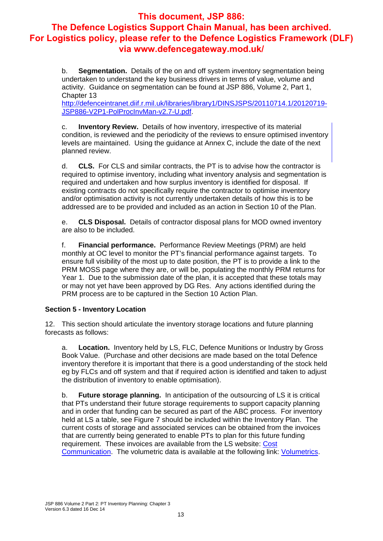b. **Segmentation.** Details of the on and off system inventory segmentation being undertaken to understand the key business drivers in terms of value, volume and activity. Guidance on segmentation can be found at JSP 886, Volume 2, Part 1, Chapter 13

http://defenceintranet.diif.r.mil.uk/libraries/library1/DINSJSPS/20110714.1/20120719- JSP886-V2P1-PolProcInvMan-v2.7-U.pdf.

c. **Inventory Review.** Details of how inventory, irrespective of its material condition, is reviewed and the periodicity of the reviews to ensure optimised inventory levels are maintained. Using the guidance at Annex C, include the date of the next planned review.

d. **CLS.** For CLS and similar contracts, the PT is to advise how the contractor is required to optimise inventory, including what inventory analysis and segmentation is required and undertaken and how surplus inventory is identified for disposal. If existing contracts do not specifically require the contractor to optimise inventory and/or optimisation activity is not currently undertaken details of how this is to be addressed are to be provided and included as an action in Section 10 of the Plan.

e. **CLS Disposal.** Details of contractor disposal plans for MOD owned inventory are also to be included.

f. **Financial performance.** Performance Review Meetings (PRM) are held monthly at OC level to monitor the PT's financial performance against targets. To ensure full visibility of the most up to date position, the PT is to provide a link to the PRM MOSS page where they are, or will be, populating the monthly PRM returns for Year 1. Due to the submission date of the plan, it is accepted that these totals may or may not yet have been approved by DG Res. Any actions identified during the PRM process are to be captured in the Section 10 Action Plan.

#### **Section 5 - Inventory Location**

12. This section should articulate the inventory storage locations and future planning forecasts as follows:

a. **Location.** Inventory held by LS, FLC, Defence Munitions or Industry by Gross Book Value. (Purchase and other decisions are made based on the total Defence inventory therefore it is important that there is a good understanding of the stock held eg by FLCs and off system and that if required action is identified and taken to adjust the distribution of inventory to enable optimisation).

b. **Future storage planning.** In anticipation of the outsourcing of LS it is critical that PTs understand their future storage requirements to support capacity planning and in order that funding can be secured as part of the ABC process. For inventory held at LS a table, see Figure 7 should be included within the Inventory Plan. The current costs of storage and associated services can be obtained from the invoices that are currently being generated to enable PTs to plan for this future funding requirement. These invoices are available from the LS website: Cost Communication. The volumetric data is available at the following link: Volumetrics.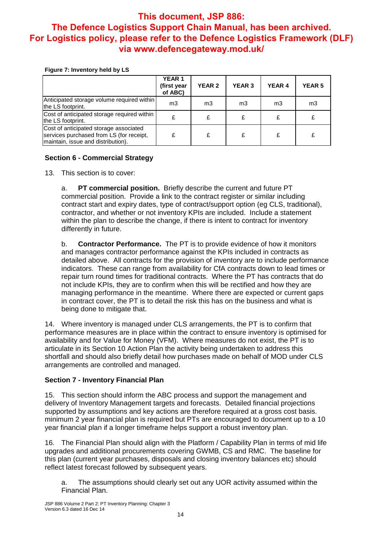#### **Figure 7: Inventory held by LS**

|                                                                                                                          | <b>YEAR 1</b><br>(first year<br>of ABC) | <b>YEAR 2</b>  | <b>YEAR 3</b> | <b>YEAR 4</b> | <b>YEAR 5</b> |
|--------------------------------------------------------------------------------------------------------------------------|-----------------------------------------|----------------|---------------|---------------|---------------|
| Anticipated storage volume required within<br>the LS footprint.                                                          | m <sub>3</sub>                          | m <sub>3</sub> | mЗ            | m3            | mЗ            |
| Cost of anticipated storage required within<br>the LS footprint.                                                         | £                                       | £              | £             |               |               |
| Cost of anticipated storage associated<br>services purchased from LS (for receipt,<br>maintain, issue and distribution). | £                                       | £              | £             | £             | £             |

#### **Section 6 - Commercial Strategy**

13. This section is to cover:

a. **PT commercial position.** Briefly describe the current and future PT commercial position. Provide a link to the contract register or similar including contract start and expiry dates, type of contract/support option (eg CLS, traditional), contractor, and whether or not inventory KPIs are included. Include a statement within the plan to describe the change, if there is intent to contract for inventory differently in future.

b. **Contractor Performance.** The PT is to provide evidence of how it monitors and manages contractor performance against the KPIs included in contracts as detailed above. All contracts for the provision of inventory are to include performance indicators. These can range from availability for CfA contracts down to lead times or repair turn round times for traditional contracts. Where the PT has contracts that do not include KPIs, they are to confirm when this will be rectified and how they are managing performance in the meantime. Where there are expected or current gaps in contract cover, the PT is to detail the risk this has on the business and what is being done to mitigate that.

14. Where inventory is managed under CLS arrangements, the PT is to confirm that performance measures are in place within the contract to ensure inventory is optimised for availability and for Value for Money (VFM). Where measures do not exist, the PT is to articulate in its Section 10 Action Plan the activity being undertaken to address this shortfall and should also briefly detail how purchases made on behalf of MOD under CLS arrangements are controlled and managed.

#### **Section 7 - Inventory Financial Plan**

15. This section should inform the ABC process and support the management and delivery of Inventory Management targets and forecasts. Detailed financial projections supported by assumptions and key actions are therefore required at a gross cost basis. minimum 2 year financial plan is required but PTs are encouraged to document up to a 10 year financial plan if a longer timeframe helps support a robust inventory plan.

16. The Financial Plan should align with the Platform / Capability Plan in terms of mid life upgrades and additional procurements covering GWMB, CS and RMC. The baseline for this plan (current year purchases, disposals and closing inventory balances etc) should reflect latest forecast followed by subsequent years.

a. The assumptions should clearly set out any UOR activity assumed within the Financial Plan.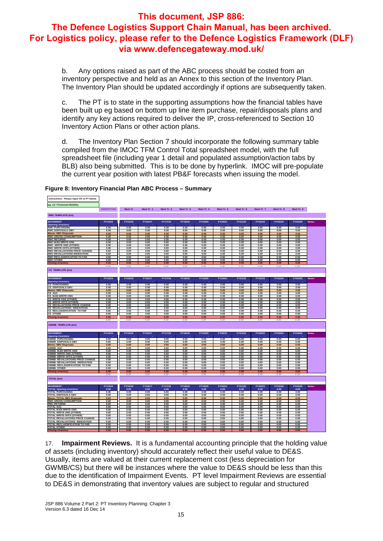b. Any options raised as part of the ABC process should be costed from an inventory perspective and held as an Annex to this section of the Inventory Plan. The Inventory Plan should be updated accordingly if options are subsequently taken.

c. The PT is to state in the supporting assumptions how the financial tables have been built up eg based on bottom up line item purchase, repair/disposals plans and identify any key actions required to deliver the IP, cross-referenced to Section 10 Inventory Action Plans or other action plans.

d. The Inventory Plan Section 7 should incorporate the following summary table compiled from the IMOC TFM Control Total spreadsheet model, with the full spreadsheet file (including year 1 detail and populated assumption/action tabs by BLB) also being submitted. This is to be done by hyperlink. IMOC will pre-populate the current year position with latest PB&F forecasts when issuing the model.

| nstructions: Please input OC & PT below                 |                   |                |              |                |              |              |              |              |              |              |              |              |
|---------------------------------------------------------|-------------------|----------------|--------------|----------------|--------------|--------------|--------------|--------------|--------------|--------------|--------------|--------------|
| eg: LE / Protected Mobility                             |                   |                |              |                |              |              |              |              |              |              |              |              |
|                                                         | Current Yr F cast | <b>Next Yr</b> | Next Yr 1    | Next Yr 2      | Next Yr 3    | Next Yr 4    | Next Yr 5    | Next Yr 6    | Next Yr 7    | Next Yr 8    | Next Yr 9    |              |
| <b>RMC TEMPLATE (£m)</b>                                |                   |                |              |                |              |              |              |              |              |              |              |              |
|                                                         |                   |                |              |                |              |              |              |              |              |              |              |              |
| <b>MOVEMENT</b>                                         | FY14/15           | FY15/16        | FY16/17      | <b>FY17/18</b> | FY18/19      | FY19/20      | FY20/21      | FY21/22      | FY22/23      | FY23/24      | FY24/25      | <b>Notes</b> |
| <b>Opening inventory</b>                                |                   |                |              |                |              |              |              |              |              |              |              |              |
| <b>RMC PURCHASING</b><br><b>RMC DISPOSALS GBV</b>       | 0.00<br>0.00      | 0.00<br>0.00   | 0.00<br>0.00 | 0.00<br>0.00   | 0.00<br>0.00 | 0.00<br>0.00 | 0.00<br>0.00 | 0.00<br>0.00 | 0.00<br>0.00 | 0.00<br>0.00 | 0.00<br>0.00 |              |
| <b>Memo: NBV Disposals</b>                              | 0.00              | 0.00           | 0.00         | 0.00           | 0.00         | 0.00         | 0.00         | 0.00         | 0.00         | 0.00         | 0.00         |              |
| <b>RMC GROSS CONSUMPTION</b>                            | 0.00              | 0.00           | 0.00         | 0.00           | 0.00         | 0.00         | 0.00         | 0.00         | 0.00         | 0.00         | 0.00         |              |
| <b>RMC RETURNS</b>                                      | 0.00              | 0.00           | 0.00         | 0.00           | 0.00         | 0.00         | 0.00         | 0.00         | 0.00         | 0.00         | 0.00         |              |
| <b>RMC MJDI WRITE ONS</b>                               | 0.00              | 0.00           | 0.00         | 0.00           | 0.00         | 0.00         | 0.00         | 0.00         | 0.00         | 0.00         | 0.00         |              |
| <b>RMC WRITE ONS (OTHER)</b>                            | 0.00              | 0.00           | 0.00         | 0.00           | 0.00         | 0.00         | 0.00         | 0.00         | 0.00         | 0.00         | 0.00         |              |
| RMC WRITE OFFS (OTHER)<br>RMC REVALUATIONS PRICE CHANGE | 0.00<br>0.00      | 0.00<br>0.00   | 0.00<br>0.00 | 0.00<br>0.00   | 0.00<br>0.00 | 0.00<br>0.00 | 0.00<br>0.00 | 0.00<br>0.00 | 0.00<br>0.00 | 0.00<br>0.00 | 0.00<br>0.00 |              |
| RMC REVALUATIONS INDEXATION                             | 0.00              | 0.00           | 0.00         | 0.00           | 0.00         | 0.00         | 0.00         | 0.00         | 0.00         | 0.00         | 0.00         |              |
| <b>RMC RECLASSIFICAITON TO FAR</b>                      | 0.00              | 0.00           | 0.00         | 0.00           | 0.00         | 0.00         | 0.00         | 0.00         | 0.00         | 0.00         | 0.00         |              |
| <b>RMC OTHER</b>                                        | 0.00              | 0.00           | 0.00         | 0.00           | 0.00         | 0.00         | 0.00         | 0.00         | 0.00         | 0.00         | 0.00         |              |
| <b>Closing inventory</b>                                | 0.00              | 0.00           | 0.00         | 0.00           | 0.00         | 0.00         | 0.00         | 0.00         | 0.00         | 0.00         | 0.00         |              |
|                                                         | 0.00              | 0.00           | 0.00         | 0.00           | 0.00         | 0.00         | 0.00         | 0.00         | 0.00         | 0.00         | 0.00         |              |
| CS TEMPLATE (£m)                                        |                   |                |              |                |              |              |              |              |              |              |              |              |
|                                                         |                   |                |              |                |              |              |              |              |              |              |              |              |
| <b>MOVEMENT</b>                                         | FY14/15           | FY15/16        | FY16/17      | FY17/18        | FY18/19      | FY19/20      | FY20/21      | FY21/22      | FY22/23      | FY23/24      | FY24/25      | <b>Notes</b> |
| <b>Opening inventory</b>                                |                   |                |              |                |              |              |              |              |              |              |              |              |
| <b>CS PURCHASING</b>                                    | 0.00              | 0.00           | 0.00         | 0.00           | 0.00         | 0.00         | 0.00         | 0.00         | 0.00         | 0.00         | 0.00         |              |
| <b>CS DISPOSALS GBV</b>                                 | 0.00              | 0.00           | 0.00         | 0.00           | 0.00         | 0.00         | 0.00         | 0.00         | 0.00         | 0.00         | 0.00         |              |
| <b>Memo: NBV Disposals</b>                              | 0.00              | 0.00           | 0.00         | 0.00           | 0.00         | 0.00         | 0.00         | 0.00         | 0.00         | 0.00         | 0.00         |              |
| CS AUC<br>CS MJDI WRITE ONS                             | 0.00<br>0.00      | 0.00<br>0.00   | 0.00<br>0.00 | 0.00<br>0.00   | 0.00<br>0.00 | 0.00<br>0.00 | 0.00<br>0.00 | 0.00<br>0.00 | 0.00<br>0.00 | 0.00<br>0.00 | 0.00<br>0.00 |              |
| CS WRITE ONS (OTHER)                                    | 0.00              | 0.00           | 0.00         | 0.00           | 0.00         | 0.00         | 0.00         | 0.00         | 0.00         | 0.00         | 0.00         |              |
| <b>CS WRITE OFFS (OTHER)</b>                            | 0.00              | 0.00           | 0.00         | 0.00           | 0.00         | 0.00         | 0.00         | 0.00         | 0.00         | 0.00         | 0.00         |              |
| <b>CS REVALUATIONS PRICE CHANGE</b>                     | 0.00              | 0.00           | 0.00         | 0.00           | 0.00         | 0.00         | 0.00         | 0.00         | 0.00         | 0.00         | 0.00         |              |
| CS REVALUATIONS INDEXATION                              | 0.00              | 0.00           | 0.00         | 0.00           | 0.00         | 0.00         | 0.00         | 0.00         | 0.00         | 0.00         | 0.00         |              |
| <b>CS RECLASSIFICATION TO FAR</b>                       | 0.00              | 0.00           | 0.00         | 0.00           | 0.00         | 0.00         | 0.00         | 0.00         | 0.00         | 0.00         | 0.00         |              |
| <b>CS OTHER</b>                                         | 0.00              | 0.00           | 0.00         | 0.00           | 0.00         | 0.00         | 0.00         | 0.00         | 0.00         | 0.00         | 0.00         |              |
| <b>Closing inventory</b>                                | 0.00<br>0.00      | 0.00<br>0.00   | 0.00<br>0.00 | 0.00<br>0.00   | 0.00<br>0.00 | 0.00<br>0.00 | 0.00<br>0.00 | 0.00<br>0.00 | 0.00<br>0.00 | 0.00<br>0.00 | 0.00<br>0.00 |              |
|                                                         |                   |                |              |                |              |              |              |              |              |              |              |              |
| <b>GWMB TEMPLATE (£m)</b>                               |                   |                |              |                |              |              |              |              |              |              |              |              |
|                                                         |                   |                |              |                |              |              |              |              |              |              |              |              |
| <b>MOVEMENT</b>                                         | FY14/15           | FY15/16        | FY16/17      | FY17/18        | FY18/19      | FY19/20      | FY20/21      | FY21/22      | FY22/23      | FY23/24      | FY24/25      | <b>Notes</b> |
| <b>Opening inventory</b>                                |                   |                |              |                |              |              |              |              |              |              |              |              |
| <b>GWMB PURCHASING</b>                                  | 0.00              | 0.00           | 0.00         | 0.00           | 0.00         | 0.00         | 0.00         | 0.00         | 0.00         | 0.00         | 0.00         |              |
| <b>GWMB DISPOSALS GBV</b>                               | 0.00              | 0.00           | 0.00         | 0.00           | 0.00         | 0.00         | 0.00         | 0.00         | 0.00         | 0.00         | 0.00         |              |
| <b>Memo: NBV Disposals</b><br><b>GWMB AUC</b>           | 0.00              | 0.00           | 0.00         | 0.00           | 0.00         | 0.00         | 0.00         | 0.00         | 0.00<br>0.00 | 0.00         | 0.00         |              |
| GWMB MJDI WRITE ONS                                     | 0.00<br>0.00      | 0.00<br>0.00   | 0.00<br>0.00 | 0.00<br>0.00   | 0.00<br>0.00 | 0.00<br>0.00 | 0.00<br>0.00 | 0.00<br>0.00 | 0.00         | 0.00<br>0.00 | 0.00<br>0.00 |              |
| <b>GWMB WRITE ONS (OTHER)</b>                           | 0.00              | 0.00           | 0.00         | 0.00           | 0.00         | 0.00         | 0.00         | 0.00         | 0.00         | 0.00         | 0.00         |              |
| <b>GWMB WRITE OFFS (OTHER)</b>                          | 0.00              | 0.00           | 0.00         | 0.00           | 0.00         | 0.00         | 0.00         | 0.00         | 0.00         | 0.00         | 0.00         |              |
| <b>GWMB REVALUATIONS PRICE CHANGE</b>                   | 0.00              | 0.00           | 0.00         | 0.00           | 0.00         | 0.00         | 0.00         | 0.00         | 0.00         | 0.00         | 0.00         |              |
| <b>GWMB REVALUATIONS INDEXATION</b>                     | 0.00              | 0.00           | 0.00         | 0.00           | 0.00         | 0.00         | 0.00         | 0.00         | 0.00         | 0.00         | 0.00         |              |
| <b>GWMB RECLASSIFICATION TO FAR</b>                     | 0.00              | 0.00           | 0.00         | 0.00           | 0.00         | 0.00         | 0.00         | 0.00         | 0.00         | 0.00         | 0.00         |              |
| <b>GWMB OTHER</b>                                       | 0.00              | 0.00           | 0.00         | 0.00           | 0.00         | 0.00         | 0.00         | 0.00         | 0.00         | 0.00         | 0.00         |              |
| <b>Closing inventory</b>                                | 0.00<br>0.00      | 0.00<br>0.00   | 0.00<br>0.00 | 0.00<br>0.00   | 0.00<br>0.00 | 0.00<br>0.00 | 0.00<br>0.00 | 0.00<br>0.00 | 0.00<br>0.00 | 0.00<br>0.00 | 0.00<br>0.00 |              |
|                                                         |                   |                |              |                |              |              |              |              |              |              |              |              |
| <b>TOTAL (£m)</b>                                       |                   |                |              |                |              |              |              |              |              |              |              |              |
|                                                         |                   |                |              |                |              |              |              |              |              |              |              |              |
| <b>MOVEMENT</b>                                         | FY14/15           | FY15/16        | FY16/17      | <b>FY17/18</b> | FY18/19      | FY19/20      | FY20/21      | FY21/22      | FY22/23      | FY23/24      | FY24/25      | <b>Notes</b> |
| <b>TOTAL Opening inventory</b>                          | 0.00              | 0.00           | 0.00         | 0.00           | 0.00         | 0.00         | 0.00         | 0.00         | 0.00         | 0.00         | 0.00         |              |
| <b>TOTAL PURCHASING</b><br><b>TOTAL DISPOSALS GBV</b>   | 0.00<br>0.00      | 0.00<br>0.00   | 0.00<br>0.00 | 0.00<br>0.00   | 0.00         | 0.00<br>0.00 | 0.00<br>0.00 | 0.00<br>0.00 | 0.00<br>0.00 | 0.00<br>0.00 | 0.00         |              |
| Memo: TOTAL NBV Disposals                               | 0.00              | 0.00           | 0.00         | 0.00           | 0.00<br>0.00 | 0.00         | 0.00         | 0.00         | 0.00         | 0.00         | 0.00<br>0.00 |              |
| <b>RMC GROSS CONSUMPTION</b>                            | 0.00              | 0.00           | 0.00         | 0.00           | 0.00         | 0.00         | 0.00         | 0.00         | 0.00         | 0.00         | 0.00         |              |
| <b>RMC RETURNS</b>                                      | 0.00              | 0.00           | 0.00         | 0.00           | 0.00         | 0.00         | 0.00         | 0.00         | 0.00         | 0.00         | 0.00         |              |
| <b>TOTAL AUC</b>                                        |                   | 0.00           | 0.00         | 0.00           | 0.00         | 0.00         | 0.00         | 0.00         | 0.00         | 0.00         | 0.00         |              |
|                                                         | 0.00              |                |              |                |              |              |              |              |              |              |              |              |
| <b>TOTAL MJDI WRITE ONS</b>                             | 0.00              | 0.00           | 0.00         | 0.00           | 0.00         | 0.00         | 0.00         | 0.00         | 0.00         | 0.00         | 0.00         |              |
| TOTAL WRITE ONS (OTHER)                                 | 0.00              | 0.00           | 0.00         | 0.00           | 0.00         | 0.00         | 0.00         | 0.00         | 0.00         | 0.00         | 0.00         |              |
| TOTAL WRITE OFFS (OTHER)                                | 0.00              | 0.00           | 0.00         | 0.00           | 0.00         | 0.00         | 0.00         | 0.00         | 0.00         | 0.00         | 0.00         |              |
| TOTAL REVALUATIONS PRICE CHANGE                         | 0.00              | 0.00           | 0.00         | 0.00           | 0.00         | 0.00         | 0.00         | 0.00         | 0.00         | 0.00         | 0.00         |              |
| TOTAL REVALUATIONS INDEXATION                           | 0.00              | 0.00           | 0.00         | 0.00           | 0.00         | 0.00         | 0.00         | 0.00         | 0.00         | 0.00         | 0.00         |              |
| TOTAL RECLASSIFICATION TO FAR                           | 0.00              | 0.00           | 0.00         | 0.00           | 0.00         | 0.00         | 0.00         | 0.00         | 0.00         | 0.00         | 0.00         |              |
| <b>TOTAL OTHER</b><br><b>Closing inventory</b>          | 0.00<br>0.00      | 0.00<br>0.00   | 0.00<br>0.00 | 0.00<br>0.00   | 0.00<br>0.00 | 0.00<br>0.00 | 0.00<br>0.00 | 0.00<br>0.00 | 0.00<br>0.00 | 0.00<br>0.00 | 0.00<br>0.00 |              |

#### **Figure 8: Inventory Financial Plan ABC Process – Summary**

17. **Impairment Reviews.** It is a fundamental accounting principle that the holding value of assets (including inventory) should accurately reflect their useful value to DE&S. Usually, items are valued at their current replacement cost (less depreciation for GWMB/CS) but there will be instances where the value to DE&S should be less than this due to the identification of Impairment Events. PT level Impairment Reviews are essential to DE&S in demonstrating that inventory values are subject to regular and structured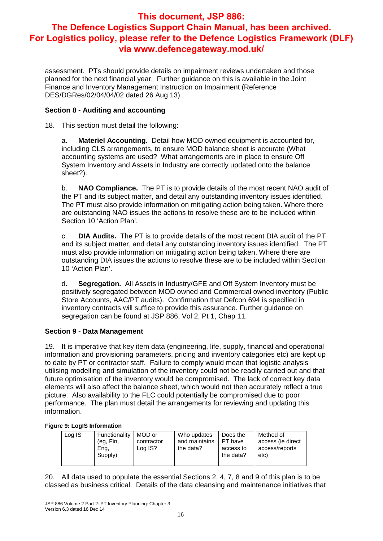assessment. PTs should provide details on impairment reviews undertaken and those planned for the next financial year. Further guidance on this is available in the Joint Finance and Inventory Management Instruction on Impairment (Reference DES/DGRes/02/04/04/02 dated 26 Aug 13).

#### **Section 8 - Auditing and accounting**

18. This section must detail the following:

a. **Materiel Accounting.** Detail how MOD owned equipment is accounted for, including CLS arrangements, to ensure MOD balance sheet is accurate (What accounting systems are used? What arrangements are in place to ensure Off System Inventory and Assets in Industry are correctly updated onto the balance sheet?).

b. **NAO Compliance.** The PT is to provide details of the most recent NAO audit of the PT and its subject matter, and detail any outstanding inventory issues identified. The PT must also provide information on mitigating action being taken. Where there are outstanding NAO issues the actions to resolve these are to be included within Section 10 'Action Plan'.

c. **DIA Audits.** The PT is to provide details of the most recent DIA audit of the PT and its subject matter, and detail any outstanding inventory issues identified. The PT must also provide information on mitigating action being taken. Where there are outstanding DIA issues the actions to resolve these are to be included within Section 10 'Action Plan'.

d. **Segregation.** All Assets in Industry/GFE and Off System Inventory must be positively segregated between MOD owned and Commercial owned inventory (Public Store Accounts, AAC/PT audits). Confirmation that Defcon 694 is specified in inventory contracts will suffice to provide this assurance. Further guidance on segregation can be found at JSP 886, Vol 2, Pt 1, Chap 11.

#### **Section 9 - Data Management**

19. It is imperative that key item data (engineering, life, supply, financial and operational information and provisioning parameters, pricing and inventory categories etc) are kept up to date by PT or contractor staff. Failure to comply would mean that logistic analysis utilising modelling and simulation of the inventory could not be readily carried out and that future optimisation of the inventory would be compromised. The lack of correct key data elements will also affect the balance sheet, which would not then accurately reflect a true picture. Also availability to the FLC could potentially be compromised due to poor performance. The plan must detail the arrangements for reviewing and updating this information.

#### **Figure 9: LogIS Information**

| Log IS<br>Functionality<br>(eg, Fin,<br>Eng,<br>Supply) | MOD or<br>contractor<br>Log IS? | Who updates<br>and maintains<br>the data? | Does the<br>PT have<br>access to<br>the data? | Method of<br>access (ie direct<br>access/reports<br>etc) |
|---------------------------------------------------------|---------------------------------|-------------------------------------------|-----------------------------------------------|----------------------------------------------------------|
|---------------------------------------------------------|---------------------------------|-------------------------------------------|-----------------------------------------------|----------------------------------------------------------|

20. All data used to populate the essential Sections 2, 4, 7, 8 and 9 of this plan is to be classed as business critical. Details of the data cleansing and maintenance initiatives that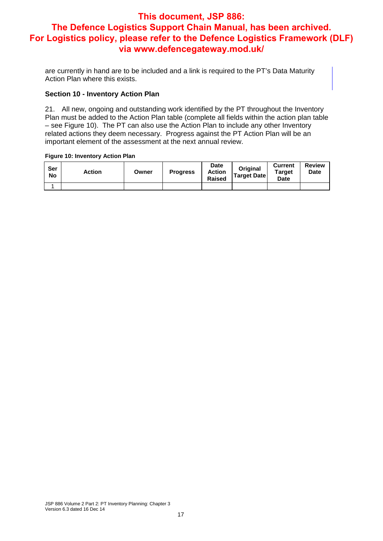are currently in hand are to be included and a link is required to the PT's Data Maturity Action Plan where this exists.

#### **Section 10 - Inventory Action Plan**

21. All new, ongoing and outstanding work identified by the PT throughout the Inventory Plan must be added to the Action Plan table (complete all fields within the action plan table – see Figure 10). The PT can also use the Action Plan to include any other Inventory related actions they deem necessary. Progress against the PT Action Plan will be an important element of the assessment at the next annual review.

#### **Figure 10: Inventory Action Plan**

| Ser<br><b>No</b> | Action | Owner | <b>Progress</b> | <b>Date</b><br><b>Action</b><br><b>Raised</b> | <b>Original</b><br>Target Date | <b>Current</b><br><b>Target</b><br><b>Date</b> | <b>Review</b><br><b>Date</b> |
|------------------|--------|-------|-----------------|-----------------------------------------------|--------------------------------|------------------------------------------------|------------------------------|
|                  |        |       |                 |                                               |                                |                                                |                              |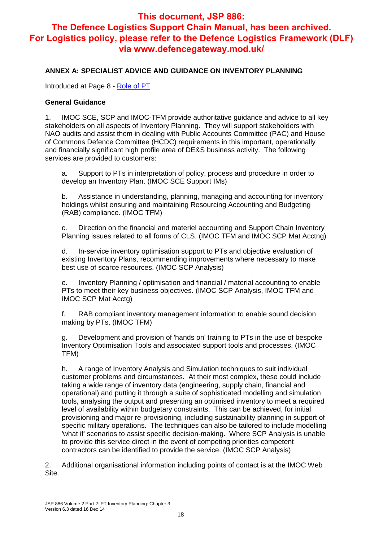#### **ANNEX A: SPECIALIST ADVICE AND GUIDANCE ON INVENTORY PLANNING**

Introduced at Page 8 - Role of PT

#### **General Guidance**

1. IMOC SCE, SCP and IMOC-TFM provide authoritative guidance and advice to all key stakeholders on all aspects of Inventory Planning. They will support stakeholders with NAO audits and assist them in dealing with Public Accounts Committee (PAC) and House of Commons Defence Committee (HCDC) requirements in this important, operationally and financially significant high profile area of DE&S business activity. The following services are provided to customers:

a. Support to PTs in interpretation of policy, process and procedure in order to develop an Inventory Plan. (IMOC SCE Support IMs)

b. Assistance in understanding, planning, managing and accounting for inventory holdings whilst ensuring and maintaining Resourcing Accounting and Budgeting (RAB) compliance. (IMOC TFM)

c. Direction on the financial and materiel accounting and Support Chain Inventory Planning issues related to all forms of CLS. (IMOC TFM and IMOC SCP Mat Acctng)

d. In-service inventory optimisation support to PTs and objective evaluation of existing Inventory Plans, recommending improvements where necessary to make best use of scarce resources. (IMOC SCP Analysis)

e. Inventory Planning / optimisation and financial / material accounting to enable PTs to meet their key business objectives. (IMOC SCP Analysis, IMOC TFM and IMOC SCP Mat Acctg)

f. RAB compliant inventory management information to enable sound decision making by PTs. (IMOC TFM)

g. Development and provision of 'hands on' training to PTs in the use of bespoke Inventory Optimisation Tools and associated support tools and processes. (IMOC TFM)

h. A range of Inventory Analysis and Simulation techniques to suit individual customer problems and circumstances. At their most complex, these could include taking a wide range of inventory data (engineering, supply chain, financial and operational) and putting it through a suite of sophisticated modelling and simulation tools, analysing the output and presenting an optimised inventory to meet a required level of availability within budgetary constraints. This can be achieved, for initial provisioning and major re-provisioning, including sustainability planning in support of specific military operations. The techniques can also be tailored to include modelling 'what if' scenarios to assist specific decision-making. Where SCP Analysis is unable to provide this service direct in the event of competing priorities competent contractors can be identified to provide the service. (IMOC SCP Analysis)

2. Additional organisational information including points of contact is at the IMOC Web Site.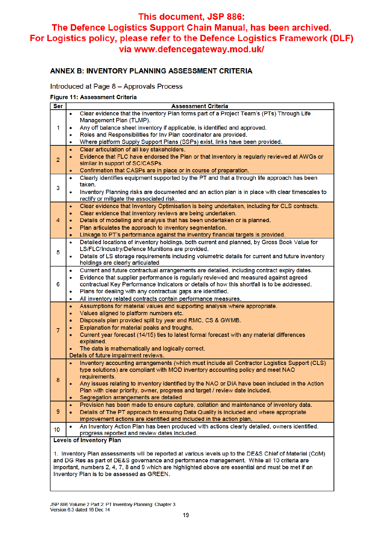#### **ANNEX B: INVENTORY PLANNING ASSESSMENT CRITERIA**

#### Introduced at Page 8 - Approvals Process

#### Figure 11: Assessment Criteria

| Ser                                                                                                     | <b>Assessment Criteria</b>                                                                                                                         |
|---------------------------------------------------------------------------------------------------------|----------------------------------------------------------------------------------------------------------------------------------------------------|
| 1                                                                                                       | Clear evidence that the Inventory Plan forms part of a Project Team's (PTs) Through Life<br>۰                                                      |
|                                                                                                         | Management Plan (TLMP).                                                                                                                            |
|                                                                                                         | Any off balance sheet inventory if applicable, is identified and approved.<br>۰                                                                    |
|                                                                                                         | Roles and Responsibilities for Inv Plan coordinator are provided.<br>۰                                                                             |
|                                                                                                         | Where platform Supply Support Plans (SSPs) exist, links have been provided.<br>۰                                                                   |
|                                                                                                         | Clear articulation of all key stakeholders.<br>$\bullet$                                                                                           |
| $\overline{2}$                                                                                          | Evidence that FLC have endorsed the Plan or that inventory is regularly reviewed at AWGs or<br>٠                                                   |
|                                                                                                         | similar in support of SC/CASPs.                                                                                                                    |
|                                                                                                         | Confirmation that CASPs are in place or in course of preparation.<br>٠                                                                             |
|                                                                                                         | Clearly identifies equipment supported by the PT and that a through life approach has been<br>۰                                                    |
| 3                                                                                                       | taken.                                                                                                                                             |
|                                                                                                         | Inventory Planning risks are documented and an action plan is in place with clear timescales to<br>۰                                               |
|                                                                                                         | rectify or mitigate the associated risk.<br>Clear evidence that Inventory Optimisation is being undertaken, including for CLS contracts.<br>٠      |
|                                                                                                         | Clear evidence that inventory reviews are being undertaken.<br>٠                                                                                   |
| 4                                                                                                       | Details of modelling and analysis that has been undertaken or is planned.<br>٠                                                                     |
|                                                                                                         | Plan articulates the approach to inventory segmentation.<br>$\bullet$                                                                              |
|                                                                                                         | Linkage to PT's performance against the inventory financial targets is provided.<br>٠                                                              |
|                                                                                                         | Detailed locations of inventory holdings, both current and planned, by Gross Book Value for<br>۰                                                   |
|                                                                                                         | LS/FLC/Industry/Defence Munitions are provided.                                                                                                    |
| 5                                                                                                       | Details of LS storage requirements including volumetric details for current and future inventory<br>۰                                              |
|                                                                                                         | holdings are clearly articulated                                                                                                                   |
|                                                                                                         | Current and future contractual arrangements are detailed, including contract expiry dates.<br>۰                                                    |
|                                                                                                         | Evidence that supplier performance is regularly reviewed and measured against agreed<br>۰                                                          |
| 6                                                                                                       | contractual Key Performance Indicators or details of how this shortfall is to be addressed.                                                        |
|                                                                                                         | Plans for dealing with any contractual gaps are identified.<br>۰                                                                                   |
|                                                                                                         | All inventory related contracts contain performance measures.<br>۰                                                                                 |
|                                                                                                         | Assumptions for material values and supporting analysis where appropriate.<br>٠                                                                    |
|                                                                                                         | Values aligned to platform numbers etc.<br>٠                                                                                                       |
|                                                                                                         | Disposals plan provided split by year and RMC, CS & GWMB.<br>٠                                                                                     |
| $\overline{7}$                                                                                          | Explanation for material peaks and troughs.<br>۰                                                                                                   |
|                                                                                                         | Current year forecast (14/15) ties to latest formal forecast with any material differences<br>۰                                                    |
|                                                                                                         | explained.                                                                                                                                         |
|                                                                                                         | The data is mathematically and logically correct.<br>۰                                                                                             |
|                                                                                                         | Details of future impairment reviews.<br>Inventory accounting arrangements (which must include all Contractor Logistics Support (CLS)<br>$\bullet$ |
|                                                                                                         | type solutions) are compliant with MOD inventory accounting policy and meet NAO                                                                    |
|                                                                                                         | requirements.                                                                                                                                      |
| 8                                                                                                       | Any issues relating to inventory identified by the NAO or DIA have been included in the Action<br>۰                                                |
|                                                                                                         | Plan with clear priority, owner, progress and target / review date included.                                                                       |
|                                                                                                         | Segregation arrangements are detailed<br>٠                                                                                                         |
|                                                                                                         | Provision has been made to ensure capture, collation and maintenance of inventory data.<br>$\bullet$                                               |
| 9                                                                                                       | Details of The PT approach to ensuring Data Quality is included and where appropriate<br>٠                                                         |
|                                                                                                         | improvement actions are identified and included in the action plan.                                                                                |
| 10                                                                                                      | An Inventory Action Plan has been produced with actions clearly detailed, owners identified,<br>۰                                                  |
|                                                                                                         | progress reported and review dates included.                                                                                                       |
| <b>Levels of Inventory Plan</b>                                                                         |                                                                                                                                                    |
|                                                                                                         |                                                                                                                                                    |
| 1. Inventory Plan assessments will be reported at various levels up to the DE&S Chief of Materiel (CoM) |                                                                                                                                                    |

and DG Res as part of DE&S governance and performance management. While all 10 criteria are important, numbers 2, 4, 7, 8 and 9 which are highlighted above are essential and must be met if an Inventory Plan is to be assessed as GREEN.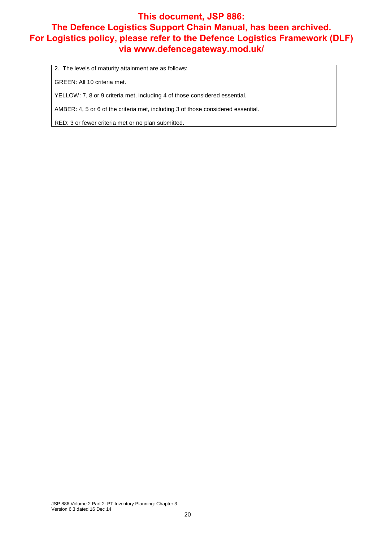2. The levels of maturity attainment are as follows:

GREEN: All 10 criteria met.

YELLOW: 7, 8 or 9 criteria met, including 4 of those considered essential.

AMBER: 4, 5 or 6 of the criteria met, including 3 of those considered essential.

RED: 3 or fewer criteria met or no plan submitted.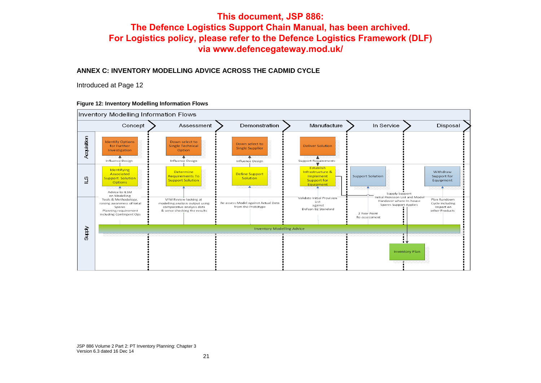#### **ANNEX C: INVENTORY MODELLING ADVICE ACROSS THE CADMID CYCLE**

Introduced at Page 12

#### **Figure 12: Inventory Modelling Information Flows**



JSP 886 Volume 2 Part 2: PT Inventory Planning: Chapter 3 Version 6.3 dated 16 Dec 14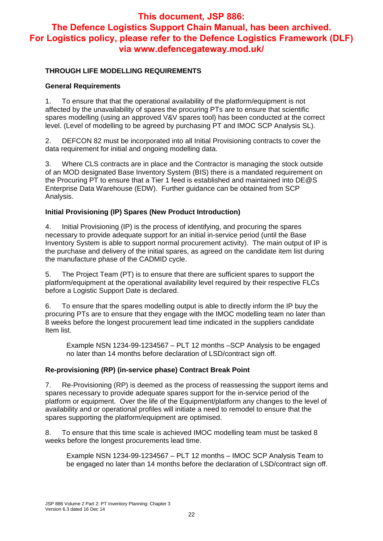#### **THROUGH LIFE MODELLING REQUIREMENTS**

#### **General Requirements**

1. To ensure that that the operational availability of the platform/equipment is not affected by the unavailability of spares the procuring PTs are to ensure that scientific spares modelling (using an approved V&V spares tool) has been conducted at the correct level. (Level of modelling to be agreed by purchasing PT and IMOC SCP Analysis SL).

2. DEFCON 82 must be incorporated into all Initial Provisioning contracts to cover the data requirement for initial and ongoing modelling data.

3. Where CLS contracts are in place and the Contractor is managing the stock outside of an MOD designated Base Inventory System (BIS) there is a mandated requirement on the Procuring PT to ensure that a Tier 1 feed is established and maintained into DE@S Enterprise Data Warehouse (EDW). Further guidance can be obtained from SCP Analysis.

#### **Initial Provisioning (IP) Spares (New Product Introduction)**

4. Initial Provisioning (IP) is the process of identifying, and procuring the spares necessary to provide adequate support for an initial in-service period (until the Base Inventory System is able to support normal procurement activity). The main output of IP is the purchase and delivery of the initial spares, as agreed on the candidate item list during the manufacture phase of the CADMID cycle.

5. The Project Team (PT) is to ensure that there are sufficient spares to support the platform/equipment at the operational availability level required by their respective FLCs before a Logistic Support Date is declared.

6. To ensure that the spares modelling output is able to directly inform the IP buy the procuring PTs are to ensure that they engage with the IMOC modelling team no later than 8 weeks before the longest procurement lead time indicated in the suppliers candidate Item list.

Example NSN 1234-99-1234567 – PLT 12 months –SCP Analysis to be engaged no later than 14 months before declaration of LSD/contract sign off.

#### **Re-provisioning (RP) (in-service phase) Contract Break Point**

7. Re-Provisioning (RP) is deemed as the process of reassessing the support items and spares necessary to provide adequate spares support for the in-service period of the platform or equipment. Over the life of the Equipment/platform any changes to the level of availability and or operational profiles will initiate a need to remodel to ensure that the spares supporting the platform/equipment are optimised.

8. To ensure that this time scale is achieved IMOC modelling team must be tasked 8 weeks before the longest procurements lead time.

Example NSN 1234-99-1234567 – PLT 12 months – IMOC SCP Analysis Team to be engaged no later than 14 months before the declaration of LSD/contract sign off.